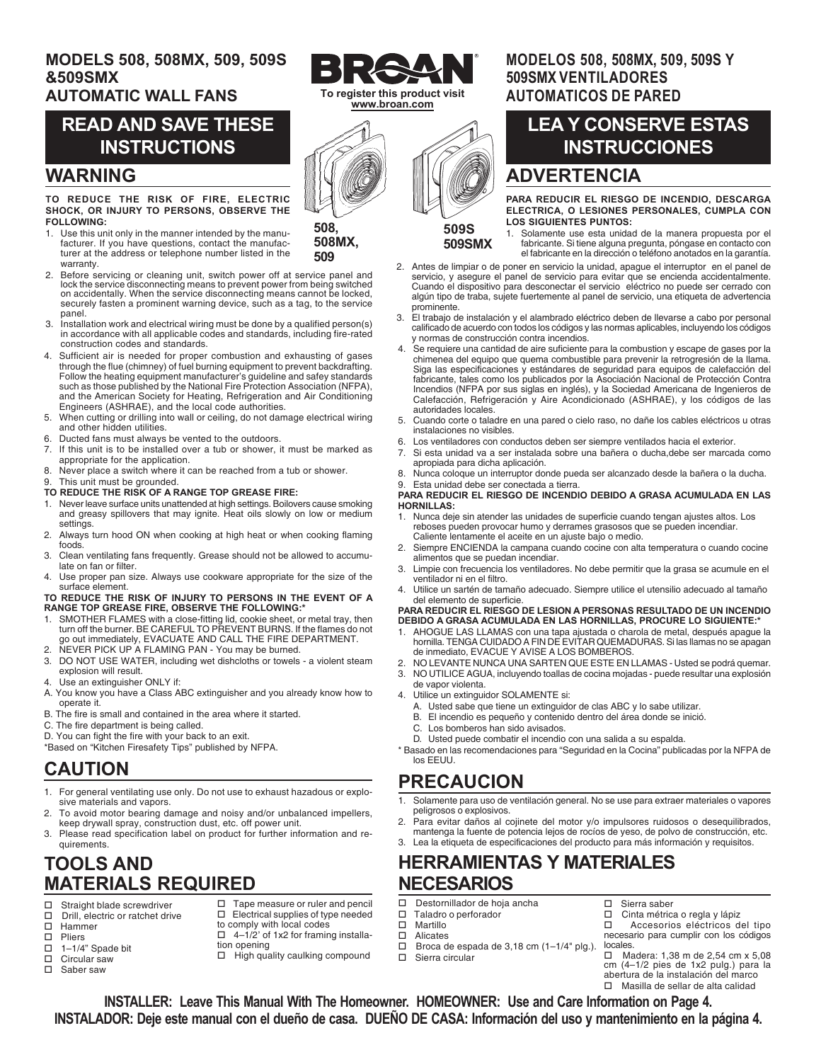# **MODELS 508, 508MX, 509, 509S &509SMX**

### **AUTOMATIC WALL FANS**

# **READ AND SAVE THESE INSTRUCTIONS**

### **WARNING**

#### **TO REDUCE THE RISK OF FIRE, ELECTRIC SHOCK, OR INJURY TO PERSONS, OBSERVE THE FOLLOWING:**

- 1. Use this unit only in the manner intended by the manufacturer. If you have questions, contact the manufacturer at the address or telephone number listed in the warranty.
- 2. Before servicing or cleaning unit, switch power off at service panel and lock the service disconnecting means to prevent power from being switched on accidentally. When the service disconnecting means cannot be locked, securely fasten a prominent warning device, such as a tag, to the service panel.
- 3. Installation work and electrical wiring must be done by a qualified person(s) in accordance with all applicable codes and standards, including fire-rated construction codes and standards.
- 4. Sufficient air is needed for proper combustion and exhausting of gases through the flue (chimney) of fuel burning equipment to prevent backdrafting. Follow the heating equipment manufacturer's guideline and safey standards such as those published by the National Fire Protection Association (NFPA), and the American Society for Heating, Refrigeration and Air Conditioning Engineers (ASHRAE), and the local code authorities.
- 5. When cutting or drilling into wall or ceiling, do not damage electrical wiring and other hidden utilities.
- 6. Ducted fans must always be vented to the outdoors.
- If this unit is to be installed over a tub or shower, it must be marked as appropriate for the application.
- 8. Never place a switch where it can be reached from a tub or shower.
- This unit must be grounded. **TO REDUCE THE RISK OF A RANGE TOP GREASE FIRE:**
- 
- 1. Never leave surface units unattended at high settings. Boilovers cause smoking and greasy spillovers that may ignite. Heat oils slowly on low or medium settings.
- 2. Always turn hood ON when cooking at high heat or when cooking flaming foods.
- 3. Clean ventilating fans frequently. Grease should not be allowed to accumulate on fan or filter.
- Use proper pan size. Always use cookware appropriate for the size of the surface element.

**TO REDUCE THE RISK OF INJURY TO PERSONS IN THE EVENT OF A RANGE TOP GREASE FIRE, OBSERVE THE FOLLOWING:\***

- 1. SMOTHER FLAMES with a close-fitting lid, cookie sheet, or metal tray, then turn off the burner. BE CAREFUL TO PREVENT BURNS. If the flames do not go out immediately, EVACUATE AND CALL THE FIRE DEPARTMENT.
- NEVER PICK UP A FLAMING PAN You may be burned.
- 3. DO NOT USE WATER, including wet dishcloths or towels a violent steam explosion will result.
- 4. Use an extinguisher ONLY if:
- A. You know you have a Class ABC extinguisher and you already know how to operate it.
- B. The fire is small and contained in the area where it started.
- C. The fire department is being called.
- D. You can fight the fire with your back to an exit.
- \*Based on "Kitchen Firesafety Tips" published by NFPA.

# **CAUTION**

- 1. For general ventilating use only. Do not use to exhaust hazadous or explosive materials and vapors.
- 2. To avoid motor bearing damage and noisy and/or unbalanced impellers, keep drywall spray, construction dust, etc. off power unit.
- 3. Please read specification label on product for further information and requirements.

# **TOOLS AND MATERIALS REQUIRED**

- $\square$  Straight blade screwdriver<br> $\square$  Drill, electric or ratchet driv
- $\square$  Drill, electric or ratchet drive  $\square$  Hammer Hammer
- 
- $\Box$  Pliers<br> $\Box$  1-1/4
- $\Box$  1–1/4" Spade bit<br> $\Box$  Circular saw Circular saw
- □ Saber saw
- $\Box$  Tape measure or ruler and pencil  $\square$  Electrical supplies of type needed to comply with local codes
- $\Box$  4-1/2' of 1x2 for framing installation opening
	- $\Box$  High quality caulking compound
	-

### **MODELOS 508, 508MX, 509, 509S Y 509SMX VENTILADORES AUTOMATICOS DE PARED**

# **LEA Y CONSERVE ESTAS INSTRUCCIONES**

# **ADVERTENCIA**

**PARA REDUCIR EL RIESGO DE INCENDIO, DESCARGA ELECTRICA, O LESIONES PERSONALES, CUMPLA CON LOS SIGUIENTES PUNTOS:**

1. Solamente use esta unidad de la manera propuesta por el fabricante. Si tiene alguna pregunta, póngase en contacto con el fabricante en la dirección o teléfono anotados en la garantía.

- 2. Antes de limpiar o de poner en servicio la unidad, apague el interruptor en el panel de servicio, y asegure el panel de servicio para evitar que se encienda accidentalmente. Cuando el dispositivo para desconectar el servicio eléctrico no puede ser cerrado con algún tipo de traba, sujete fuertemente al panel de servicio, una etiqueta de advertencia prominente.
- 3. El trabajo de instalación y el alambrado eléctrico deben de llevarse a cabo por personal calificado de acuerdo con todos los códigos y las normas aplicables, incluyendo los códigos y normas de construcción contra incendios.
- 4. Se requiere una cantidad de aire suficiente para la combustion y escape de gases por la chimenea del equipo que quema combustible para prevenir la retrogresión de la llama. Siga las especificaciones y estándares de seguridad para equipos de calefacción del fabricante, tales como los publicados por la Asociación Nacional de Protección Contra Incendios (NFPA por sus siglas en inglés), y la Sociedad Americana de Ingenieros de Calefacción, Refrigeración y Aire Acondicionado (ASHRAE), y los códigos de las autoridades locales.
- 5. Cuando corte o taladre en una pared o cielo raso, no dañe los cables eléctricos u otras instalaciones no visibles.
- 6. Los ventiladores con conductos deben ser siempre ventilados hacia el exterior.
- 7. Si esta unidad va a ser instalada sobre una bañera o ducha,debe ser marcada como apropiada para dicha aplicación.
- 8. Nunca coloque un interruptor donde pueda ser alcanzado desde la bañera o la ducha. 9. Esta unidad debe ser conectada a tierra.

#### **PARA REDUCIR EL RIESGO DE INCENDIO DEBIDO A GRASA ACUMULADA EN LAS HORNILLAS:**

- 1. Nunca deje sin atender las unidades de superficie cuando tengan ajustes altos. Los reboses pueden provocar humo y derrames grasosos que se pueden incendiar. Caliente lentamente el aceite en un ajuste bajo o medio.
- 2. Siempre ENCIENDA la campana cuando cocine con alta temperatura o cuando cocine alimentos que se puedan incendiar.
- 3. Limpie con frecuencia los ventiladores. No debe permitir que la grasa se acumule en el ventilador ni en el filtro.
- 4. Utilice un sartén de tamaño adecuado. Siempre utilice el utensilio adecuado al tamaño del elemento de superficie.

#### **PARA REDUCIR EL RIESGO DE LESION A PERSONAS RESULTADO DE UN INCENDIO DEBIDO A GRASA ACUMULADA EN LAS HORNILLAS, PROCURE LO SIGUIENTE:\***

- AHOGUE LAS LLAMAS con una tapa ajustada o charola de metal, después apague la hornilla. TENGA CUIDADO A FIN DE EVITAR QUEMADURAS. Si las llamas no se apagan de inmediato, EVACUE Y AVISE A LOS BOMBEROS.
- 2. NO LEVANTE NUNCA UNA SARTEN QUE ESTE EN LLAMAS Usted se podrá quemar.
	- 3. NO UTILICE AGUA, incluyendo toallas de cocina mojadas puede resultar una explosión
- de vapor violenta. 4. Utilice un extinguidor SOLAMENTE si:
	-
	- A. Usted sabe que tiene un extinguidor de clas ABC y lo sabe utilizar. B. El incendio es pequeño y contenido dentro del área donde se inició.<br>C. Los bomberos han sido avisados
	- Los bomberos han sido avisados.
	- D. Usted puede combatir el incendio con una salida a su espalda.
- \* Basado en las recomendaciones para "Seguridad en la Cocina" publicadas por la NFPA de los EEUU.

# **PRECAUCION**

- 1. Solamente para uso de ventilación general. No se use para extraer materiales o vapores peligrosos o explosivos.
- 2. Para evitar daños al cojinete del motor y/o impulsores ruidosos o desequilibrados, mantenga la fuente de potencia lejos de rocíos de yeso, de polvo de construcción, etc. 3. Lea la etiqueta de especificaciones del producto para más información y requisitos.

# **HERRAMIENTAS Y MATERIALES NECESARIOS**

- D Destornillador de hoja ancha
- □ Taladro o perforador<br>□ Martillo
- □ Martillo<br>□ Alicates
- □ Alicates<br>□ Broca d<br>□ Sierra c Broca de espada de 3,18 cm (1–1/4" plg.).
	- Sierra circular

locales.<br>  $\square$  Ma Madera: 1,38 m de 2,54 cm x 5,08 cm (4–1/2 pies de 1x2 pulg.) para la abertura de la instalación del marco Masilla de sellar de alta calidad

 Accesorios eléctricos del tipo necesario para cumplir con los códigos

 $\Box$  Cinta métrica o regla y lápiz<br> $\Box$  Accesorios eléctricos d

 $\square$  Sierra saber<br> $\square$  Cinta métric

**INSTALLER: Leave This Manual With The Homeowner. HOMEOWNER: Use and Care Information on Page 4. INSTALADOR: Deje este manual con el dueño de casa. DUEÑO DE CASA: Información del uso y mantenimiento en la página 4.**



**509**

**508MX,**

**To register this product visit www.broan.com**

# **509S 509SMX**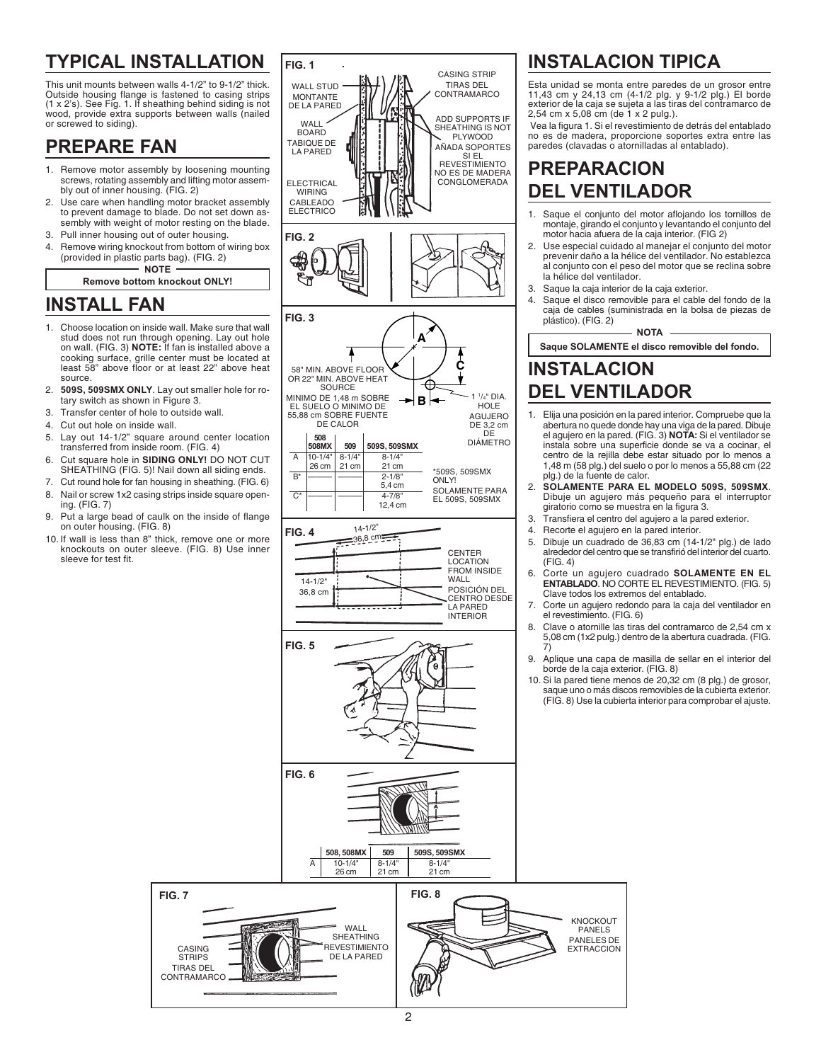# **TYPICAL INSTALLATION**

This unit mounts between walls 4-1/2" to 9-1/2" thick. Outside housing flange is fastened to casing strips (1 x 2's). See Fig. 1. If sheathing behind siding is not wood, provide extra supports between walls (nailed or screwed to siding).

# **PREPARE FAN**

- 1. Remove motor assembly by loosening mounting screws, rotating assembly and lifting motor assembly out of inner housing. (FIG. 2)
- 2. Use care when handling motor bracket assembly to prevent damage to blade. Do not set down assembly with weight of motor resting on the blade.
- 3. Pull inner housing out of outer housing.
- 4. Remove wiring knockout from bottom of wiring box (provided in plastic parts bag). (FIG. 2) **NOTE**

#### **Remove bottom knockout ONLY!**

# **INSTALL FAN**

- 1. Choose location on inside wall. Make sure that wall stud does not run through opening. Lay out hole on wall. (FIG. 3) **NOTE:** If fan is installed above a cooking surface, grille center must be located at least 58" above floor or at least 22" above heat source.
- 2. **509S, 509SMX ONLY**. Lay out smaller hole for rotary switch as shown in Figure 3.
- 3. Transfer center of hole to outside wall.
- 4. Cut out hole on inside wall.
- 5. Lay out 14-1/2" square around center location transferred from inside room. (FIG. 4)
- 6. Cut square hole in **SIDING ONLY!** DO NOT CUT SHEATHING (FIG. 5)! Nail down all siding ends.
- 7. Cut round hole for fan housing in sheathing. (FIG. 6) 8. Nail or screw 1x2 casing strips inside square opening. (FIG. 7)
- 9. Put a large bead of caulk on the inside of flange on outer housing. (FIG. 8)
- 10. If wall is less than 8" thick, remove one or more knockouts on outer sleeve. (FIG. 8) Use inner sleeve for test fit.

CASING **STRIPS** TIRAS DEL CONTRAMARCO



# **INSTALACION TIPICA**

Esta unidad se monta entre paredes de un grosor entre 11,43 cm y 24,13 cm (4-1/2 plg. y 9-1/2 plg.) El borde exterior de la caja se sujeta a las tiras del contramarco de 2,54 cm x 5,08 cm (de 1 x 2 pulg.).

 Vea la figura 1. Si el revestimiento de detrás del entablado no es de madera, proporcione soportes extra entre las paredes (clavadas o atornilladas al entablado).

# **PREPARACION DEL VENTILADOR**

- 1. Saque el conjunto del motor aflojando los tornillos de montaje, girando el conjunto y levantando el conjunto del motor hacia afuera de la caja interior. (FIG 2)
- 2. Use especial cuidado al manejar el conjunto del motor prevenir daño a la hélice del ventilador. No establezca al conjunto con el peso del motor que se reclina sobre la hélice del ventilador.
- 3. Saque la caja interior de la caja exterior.
- 4. Saque el disco removible para el cable del fondo de la caja de cables (suministrada en la bolsa de piezas de plástico). (FIG. 2)

**NOTA**

### **Saque SOLAMENTE el disco removible del fondo. INSTALACION DEL VENTILADOR**

- 1. Elija una posición en la pared interior. Compruebe que la abertura no quede donde hay una viga de la pared. Dibuje el agujero en la pared. (FIG. 3) **NOTA:** Si el ventilador se instala sobre una superficie donde se va a cocinar, el centro de la rejilla debe estar situado por lo menos a 1,48 m (58 plg.) del suelo o por lo menos a 55,88 cm (22 plg.) de la fuente de calor.
- 2. **SOLAMENTE PARA EL MODELO 509S, 509SMX**. Dibuje un agujero más pequeño para el interruptor giratorio como se muestra en la figura 3.
- 3. Transfiera el centro del agujero a la pared exterior.
- 4. Recorte el agujero en la pared interior.

KNOCKOUT PANELS PANELES DE EXTRACCION

- 5. Dibuje un cuadrado de 36,83 cm (14-1/2" plg.) de lado alrededor del centro que se transfirió del interior del cuarto. (FIG. 4)
- 6. Corte un agujero cuadrado **SOLAMENTE EN EL ENTABLADO**. NO CORTE EL REVESTIMIENTO. (FIG. 5) Clave todos los extremos del entablado.
- 7. Corte un agujero redondo para la caja del ventilador en el revestimiento. (FIG. 6)
- 8. Clave o atornille las tiras del contramarco de 2,54 cm x 5,08 cm (1x2 pulg.) dentro de la abertura cuadrada. (FIG. 7)
- 9. Aplique una capa de masilla de sellar en el interior del borde de la caja exterior. (FIG. 8)
- 10. Si la pared tiene menos de 20,32 cm (8 plg.) de grosor, saque uno o más discos removibles de la cubierta exterior. (FIG. 8) Use la cubierta interior para comprobar el ajuste.

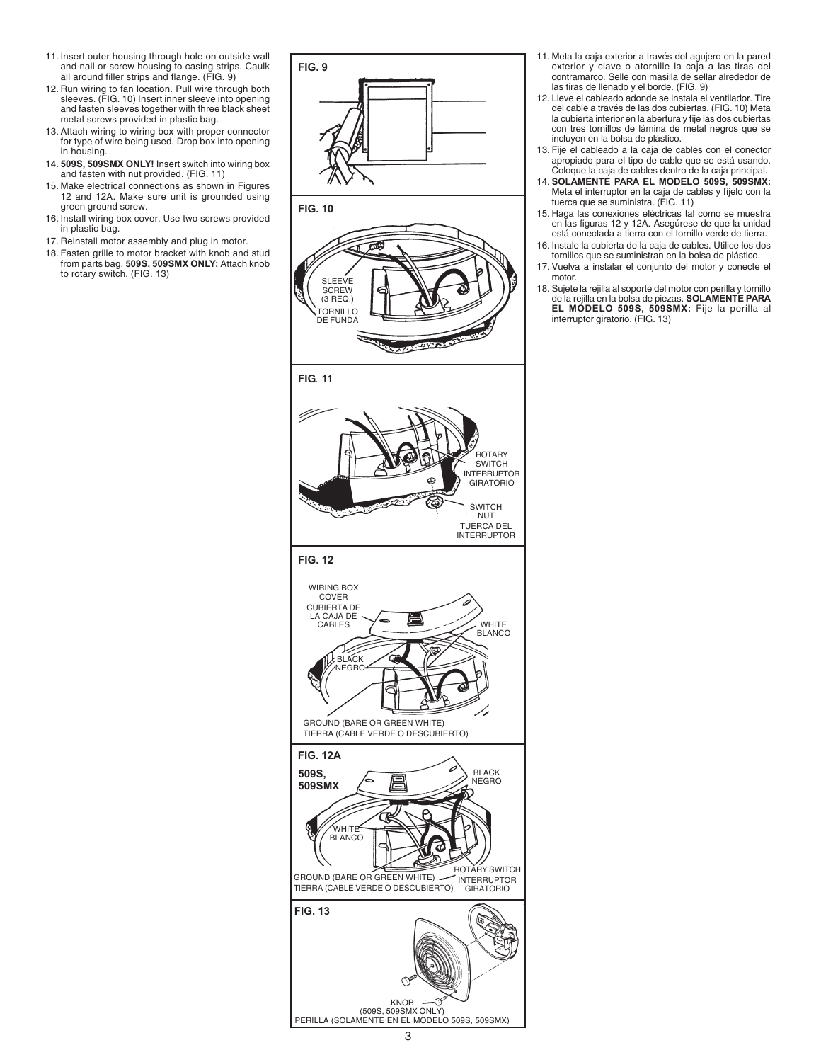- 11. Insert outer housing through hole on outside wall and nail or screw housing to casing strips. Caulk all around filler strips and flange. (FIG. 9)
- 12. Run wiring to fan location. Pull wire through both sleeves. (FIG. 10) Insert inner sleeve into opening and fasten sleeves together with three black sheet metal screws provided in plastic bag.
- 13. Attach wiring to wiring box with proper connector for type of wire being used. Drop box into opening in housing.
- 14. **509S, 509SMX ONLY!** Insert switch into wiring box and fasten with nut provided. (FIG. 11)
- 15. Make electrical connections as shown in Figures 12 and 12A. Make sure unit is grounded using green ground screw.
- 16. Install wiring box cover. Use two screws provided in plastic bag.
- 17. Reinstall motor assembly and plug in motor.
- 18. Fasten grille to motor bracket with knob and stud from parts bag. **509S, 509SMX ONLY:** Attach knob to rotary switch. (FIG. 13)



- 11. Meta la caja exterior a través del agujero en la pared exterior y clave o atornille la caja a las tiras del contramarco. Selle con masilla de sellar alrededor de las tiras de llenado y el borde. (FIG. 9)
- 12. Lleve el cableado adonde se instala el ventilador. Tire del cable a través de las dos cubiertas. (FIG. 10) Meta la cubierta interior en la abertura y fije las dos cubiertas con tres tornillos de lámina de metal negros que se incluyen en la bolsa de plástico.
- 13. Fije el cableado a la caja de cables con el conector apropiado para el tipo de cable que se está usando. Coloque la caja de cables dentro de la caja principal.
- 14. **SOLAMENTE PARA EL MODELO 509S, 509SMX:** Meta el interruptor en la caja de cables y fíjelo con la tuerca que se suministra. (FIG. 11)
- 15. Haga las conexiones eléctricas tal como se muestra en las figuras 12 y 12A. Asegúrese de que la unidad está conectada a tierra con el tornillo verde de tierra.
- 16. Instale la cubierta de la caja de cables. Utilice los dos tornillos que se suministran en la bolsa de plástico.
- 17. Vuelva a instalar el conjunto del motor y conecte el motor.
- 18. Sujete la rejilla al soporte del motor con perilla y tornillo de la rejilla en la bolsa de piezas. **SOLAMENTE PARA EL MODELO 509S, 509SMX:** Fije la perilla al interruptor giratorio. (FIG. 13)

KNOB